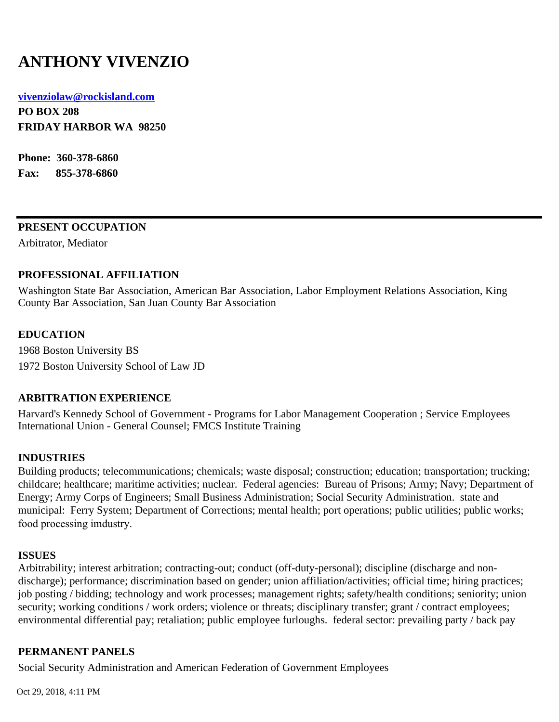# **ANTHONY VIVENZIO**

#### **[vivenziolaw@rockisland.com](mailto:vivenziolaw@rockisland.com)**

**PO BOX 208 FRIDAY HARBOR WA 98250**

**Phone: 360-378-6860 Fax: 855-378-6860**

### **PRESENT OCCUPATION**

Arbitrator, Mediator

### **PROFESSIONAL AFFILIATION**

Washington State Bar Association, American Bar Association, Labor Employment Relations Association, King County Bar Association, San Juan County Bar Association

### **EDUCATION**

1968 Boston University BS 1972 Boston University School of Law JD

### **ARBITRATION EXPERIENCE**

Harvard's Kennedy School of Government - Programs for Labor Management Cooperation ; Service Employees International Union - General Counsel; FMCS Institute Training

### **INDUSTRIES**

Building products; telecommunications; chemicals; waste disposal; construction; education; transportation; trucking; childcare; healthcare; maritime activities; nuclear. Federal agencies: Bureau of Prisons; Army; Navy; Department of Energy; Army Corps of Engineers; Small Business Administration; Social Security Administration. state and municipal: Ferry System; Department of Corrections; mental health; port operations; public utilities; public works; food processing imdustry.

#### **ISSUES**

Arbitrability; interest arbitration; contracting-out; conduct (off-duty-personal); discipline (discharge and nondischarge); performance; discrimination based on gender; union affiliation/activities; official time; hiring practices; job posting / bidding; technology and work processes; management rights; safety/health conditions; seniority; union security; working conditions / work orders; violence or threats; disciplinary transfer; grant / contract employees; environmental differential pay; retaliation; public employee furloughs. federal sector: prevailing party / back pay

### **PERMANENT PANELS**

Social Security Administration and American Federation of Government Employees

Oct 29, 2018, 4:11 PM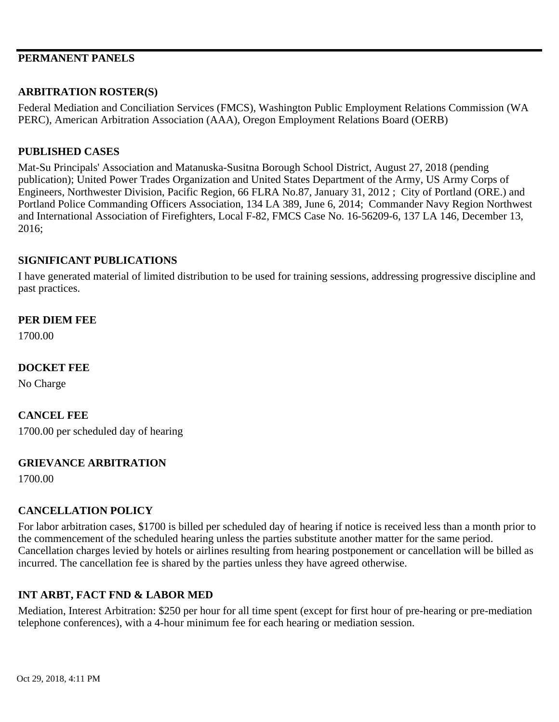## **PERMANENT PANELS**

## **ARBITRATION ROSTER(S)**

Federal Mediation and Conciliation Services (FMCS), Washington Public Employment Relations Commission (WA PERC), American Arbitration Association (AAA), Oregon Employment Relations Board (OERB)

### **PUBLISHED CASES**

Mat-Su Principals' Association and Matanuska-Susitna Borough School District, August 27, 2018 (pending publication); United Power Trades Organization and United States Department of the Army, US Army Corps of Engineers, Northwester Division, Pacific Region, 66 FLRA No.87, January 31, 2012 ; City of Portland (ORE.) and Portland Police Commanding Officers Association, 134 LA 389, June 6, 2014; Commander Navy Region Northwest and International Association of Firefighters, Local F-82, FMCS Case No. 16-56209-6, 137 LA 146, December 13, 2016;

### **SIGNIFICANT PUBLICATIONS**

I have generated material of limited distribution to be used for training sessions, addressing progressive discipline and past practices.

### **PER DIEM FEE**

1700.00

### **DOCKET FEE**

No Charge

#### **CANCEL FEE**

1700.00 per scheduled day of hearing

#### **GRIEVANCE ARBITRATION**

1700.00

### **CANCELLATION POLICY**

For labor arbitration cases, \$1700 is billed per scheduled day of hearing if notice is received less than a month prior to the commencement of the scheduled hearing unless the parties substitute another matter for the same period. Cancellation charges levied by hotels or airlines resulting from hearing postponement or cancellation will be billed as incurred. The cancellation fee is shared by the parties unless they have agreed otherwise.

### **INT ARBT, FACT FND & LABOR MED**

Mediation, Interest Arbitration: \$250 per hour for all time spent (except for first hour of pre-hearing or pre-mediation telephone conferences), with a 4-hour minimum fee for each hearing or mediation session.